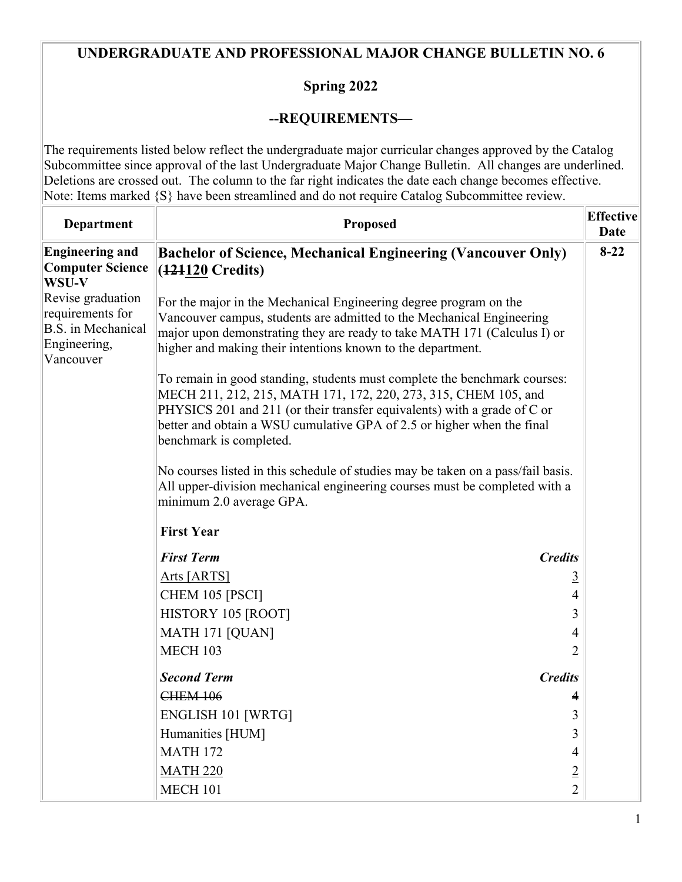## **UNDERGRADUATE AND PROFESSIONAL MAJOR CHANGE BULLETIN NO. 6**

## **Spring 2022**

## **--REQUIREMENTS—**

The requirements listed below reflect the undergraduate major curricular changes approved by the Catalog Subcommittee since approval of the last Undergraduate Major Change Bulletin. All changes are underlined. Deletions are crossed out. The column to the far right indicates the date each change becomes effective. Note: Items marked {S} have been streamlined and do not require Catalog Subcommittee review.

| <b>Department</b>                                                                               | <b>Proposed</b>                                                                                                                                                                                                                                                                                                               |                | <b>Effective</b><br>Date |  |
|-------------------------------------------------------------------------------------------------|-------------------------------------------------------------------------------------------------------------------------------------------------------------------------------------------------------------------------------------------------------------------------------------------------------------------------------|----------------|--------------------------|--|
| <b>Engineering and</b><br><b>Computer Science</b><br>WSU-V                                      | <b>Bachelor of Science, Mechanical Engineering (Vancouver Only)</b><br>(121120 Credits)                                                                                                                                                                                                                                       |                | $8-22$                   |  |
| Revise graduation<br>requirements for<br><b>B.S.</b> in Mechanical<br>Engineering,<br>Vancouver | For the major in the Mechanical Engineering degree program on the<br>Vancouver campus, students are admitted to the Mechanical Engineering<br>major upon demonstrating they are ready to take MATH 171 (Calculus I) or<br>higher and making their intentions known to the department.                                         |                |                          |  |
|                                                                                                 | To remain in good standing, students must complete the benchmark courses:<br>MECH 211, 212, 215, MATH 171, 172, 220, 273, 315, CHEM 105, and<br>PHYSICS 201 and 211 (or their transfer equivalents) with a grade of C or<br>better and obtain a WSU cumulative GPA of 2.5 or higher when the final<br>benchmark is completed. |                |                          |  |
|                                                                                                 | No courses listed in this schedule of studies may be taken on a pass/fail basis.<br>All upper-division mechanical engineering courses must be completed with a<br>minimum 2.0 average GPA.                                                                                                                                    |                |                          |  |
|                                                                                                 | <b>First Year</b>                                                                                                                                                                                                                                                                                                             |                |                          |  |
|                                                                                                 | <b>First Term</b>                                                                                                                                                                                                                                                                                                             | <b>Credits</b> |                          |  |
|                                                                                                 | Arts [ARTS]                                                                                                                                                                                                                                                                                                                   | $\overline{3}$ |                          |  |
|                                                                                                 | CHEM 105 [PSCI]                                                                                                                                                                                                                                                                                                               | $\overline{4}$ |                          |  |
|                                                                                                 | HISTORY 105 [ROOT]                                                                                                                                                                                                                                                                                                            | 3              |                          |  |
|                                                                                                 | MATH 171 [QUAN]                                                                                                                                                                                                                                                                                                               | 4              |                          |  |
|                                                                                                 | <b>MECH 103</b>                                                                                                                                                                                                                                                                                                               | 2              |                          |  |
|                                                                                                 | <b>Second Term</b>                                                                                                                                                                                                                                                                                                            | <b>Credits</b> |                          |  |
|                                                                                                 | <b>CHEM 106</b>                                                                                                                                                                                                                                                                                                               | 4              |                          |  |
|                                                                                                 | ENGLISH 101 [WRTG]                                                                                                                                                                                                                                                                                                            | 3              |                          |  |
|                                                                                                 | Humanities [HUM]                                                                                                                                                                                                                                                                                                              | $\overline{3}$ |                          |  |
|                                                                                                 | <b>MATH 172</b>                                                                                                                                                                                                                                                                                                               | $\overline{4}$ |                          |  |
|                                                                                                 | <b>MATH 220</b>                                                                                                                                                                                                                                                                                                               | $\overline{2}$ |                          |  |
|                                                                                                 | <b>MECH 101</b>                                                                                                                                                                                                                                                                                                               | $\overline{2}$ |                          |  |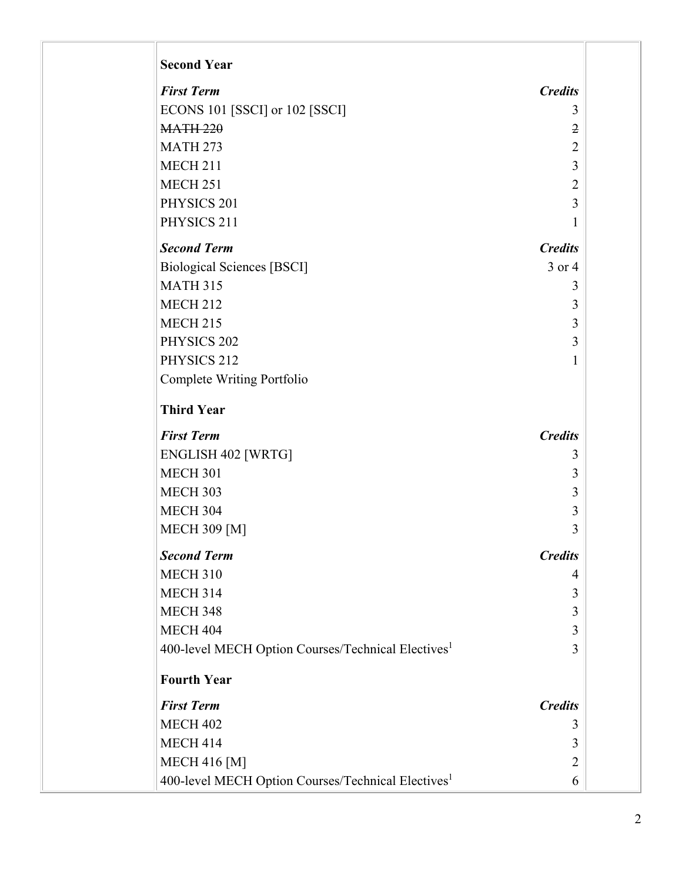| <b>Second Year</b>                                             |                |
|----------------------------------------------------------------|----------------|
| <b>First Term</b>                                              | <b>Credits</b> |
| ECONS 101 [SSCI] or 102 [SSCI]                                 | 3              |
| <b>MATH 220</b>                                                | $\overline{2}$ |
| <b>MATH 273</b>                                                | 2              |
| <b>MECH 211</b>                                                | 3              |
| <b>MECH 251</b>                                                | $\overline{2}$ |
| PHYSICS 201                                                    | 3              |
| PHYSICS 211                                                    | 1              |
| <b>Second Term</b>                                             | <b>Credits</b> |
| <b>Biological Sciences [BSCI]</b>                              | $3$ or $4$     |
| <b>MATH 315</b>                                                | 3              |
| <b>MECH 212</b>                                                | 3              |
| <b>MECH 215</b>                                                | 3              |
| PHYSICS 202                                                    | 3              |
| PHYSICS 212                                                    | 1              |
| Complete Writing Portfolio                                     |                |
| <b>Third Year</b>                                              |                |
| <b>First Term</b>                                              | <b>Credits</b> |
| ENGLISH 402 [WRTG]                                             | 3              |
| <b>MECH 301</b>                                                | 3              |
| <b>MECH 303</b>                                                | 3              |
| <b>MECH 304</b>                                                | 3              |
| <b>MECH 309 [M]</b>                                            | 3              |
| <b>Second Term</b>                                             | <b>Credits</b> |
| <b>MECH 310</b>                                                | 4              |
| <b>MECH 314</b>                                                | 3              |
| <b>MECH 348</b>                                                | 3              |
| <b>MECH 404</b>                                                | 3              |
| 400-level MECH Option Courses/Technical Electives <sup>1</sup> | 3              |
| <b>Fourth Year</b>                                             |                |
| <b>First Term</b>                                              | <b>Credits</b> |
| <b>MECH 402</b>                                                | 3              |
| <b>MECH 414</b>                                                | 3              |
| <b>MECH 416 [M]</b>                                            | 2              |
| 400-level MECH Option Courses/Technical Electives <sup>1</sup> | 6              |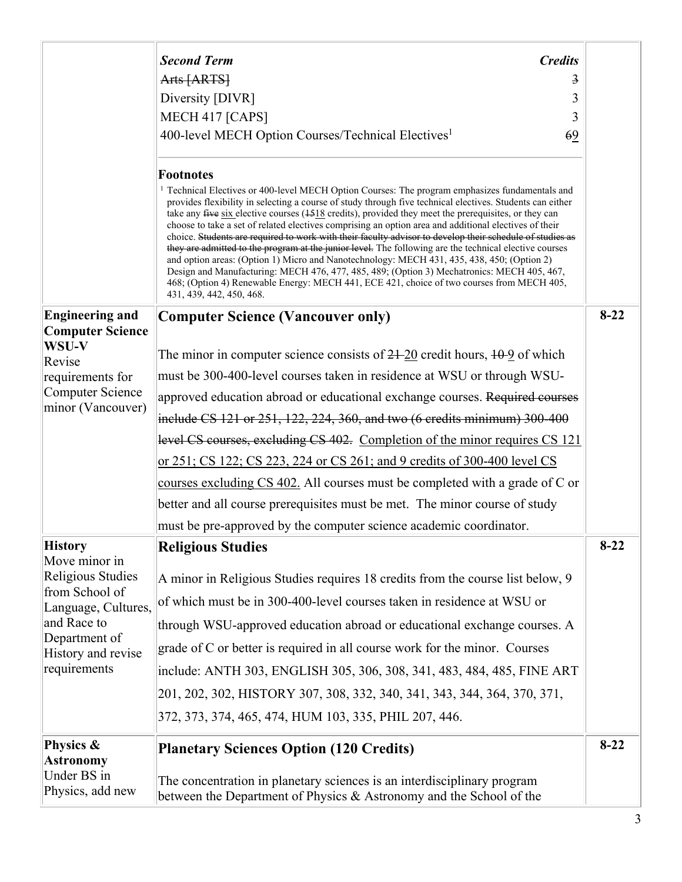|                                                                                                                                  | <b>Second Term</b><br><b>Credits</b>                                                                                                                                                                                                                                                                                                                                                                                                                                                                                                                                                                                                                                                                                                                                                                                                                                                                                                                                                                                              |          |
|----------------------------------------------------------------------------------------------------------------------------------|-----------------------------------------------------------------------------------------------------------------------------------------------------------------------------------------------------------------------------------------------------------------------------------------------------------------------------------------------------------------------------------------------------------------------------------------------------------------------------------------------------------------------------------------------------------------------------------------------------------------------------------------------------------------------------------------------------------------------------------------------------------------------------------------------------------------------------------------------------------------------------------------------------------------------------------------------------------------------------------------------------------------------------------|----------|
|                                                                                                                                  | Arts [ARTS]<br>3                                                                                                                                                                                                                                                                                                                                                                                                                                                                                                                                                                                                                                                                                                                                                                                                                                                                                                                                                                                                                  |          |
|                                                                                                                                  | Diversity [DIVR]<br>3                                                                                                                                                                                                                                                                                                                                                                                                                                                                                                                                                                                                                                                                                                                                                                                                                                                                                                                                                                                                             |          |
|                                                                                                                                  | MECH 417 [CAPS]<br>3                                                                                                                                                                                                                                                                                                                                                                                                                                                                                                                                                                                                                                                                                                                                                                                                                                                                                                                                                                                                              |          |
|                                                                                                                                  | 400-level MECH Option Courses/Technical Electives <sup>1</sup><br>69                                                                                                                                                                                                                                                                                                                                                                                                                                                                                                                                                                                                                                                                                                                                                                                                                                                                                                                                                              |          |
|                                                                                                                                  | <b>Footnotes</b><br><sup>1</sup> Technical Electives or 400-level MECH Option Courses: The program emphasizes fundamentals and<br>provides flexibility in selecting a course of study through five technical electives. Students can either<br>take any $\frac{f}{f}$ are six elective courses ( $\frac{1518}{9}$ credits), provided they meet the prerequisites, or they can<br>choose to take a set of related electives comprising an option area and additional electives of their<br>choice. Students are required to work with their faculty advisor to develop their schedule of studies as<br>they are admitted to the program at the junior level. The following are the technical elective courses<br>and option areas: (Option 1) Micro and Nanotechnology: MECH 431, 435, 438, 450; (Option 2)<br>Design and Manufacturing: MECH 476, 477, 485, 489; (Option 3) Mechatronics: MECH 405, 467,<br>468; (Option 4) Renewable Energy: MECH 441, ECE 421, choice of two courses from MECH 405,<br>431, 439, 442, 450, 468. |          |
| <b>Engineering and</b><br><b>Computer Science</b>                                                                                | <b>Computer Science (Vancouver only)</b>                                                                                                                                                                                                                                                                                                                                                                                                                                                                                                                                                                                                                                                                                                                                                                                                                                                                                                                                                                                          | $8 - 22$ |
| WSU-V                                                                                                                            | The minor in computer science consists of $24-20$ credit hours, $10-9$ of which                                                                                                                                                                                                                                                                                                                                                                                                                                                                                                                                                                                                                                                                                                                                                                                                                                                                                                                                                   |          |
| Revise<br>requirements for                                                                                                       | must be 300-400-level courses taken in residence at WSU or through WSU-                                                                                                                                                                                                                                                                                                                                                                                                                                                                                                                                                                                                                                                                                                                                                                                                                                                                                                                                                           |          |
| Computer Science                                                                                                                 | approved education abroad or educational exchange courses. Required courses                                                                                                                                                                                                                                                                                                                                                                                                                                                                                                                                                                                                                                                                                                                                                                                                                                                                                                                                                       |          |
| minor (Vancouver)                                                                                                                | include CS 121 or 251, 122, 224, 360, and two (6 credits minimum) 300-400                                                                                                                                                                                                                                                                                                                                                                                                                                                                                                                                                                                                                                                                                                                                                                                                                                                                                                                                                         |          |
|                                                                                                                                  | level CS courses, excluding CS 402. Completion of the minor requires CS 121                                                                                                                                                                                                                                                                                                                                                                                                                                                                                                                                                                                                                                                                                                                                                                                                                                                                                                                                                       |          |
|                                                                                                                                  | <u>or 251; CS 122; CS 223, 224 or CS 261; and 9 credits of 300-400 level CS</u>                                                                                                                                                                                                                                                                                                                                                                                                                                                                                                                                                                                                                                                                                                                                                                                                                                                                                                                                                   |          |
|                                                                                                                                  | courses excluding CS 402. All courses must be completed with a grade of C or                                                                                                                                                                                                                                                                                                                                                                                                                                                                                                                                                                                                                                                                                                                                                                                                                                                                                                                                                      |          |
|                                                                                                                                  | better and all course prerequisites must be met. The minor course of study                                                                                                                                                                                                                                                                                                                                                                                                                                                                                                                                                                                                                                                                                                                                                                                                                                                                                                                                                        |          |
|                                                                                                                                  | must be pre-approved by the computer science academic coordinator.                                                                                                                                                                                                                                                                                                                                                                                                                                                                                                                                                                                                                                                                                                                                                                                                                                                                                                                                                                |          |
| <b>History</b><br>Move minor in                                                                                                  | <b>Religious Studies</b>                                                                                                                                                                                                                                                                                                                                                                                                                                                                                                                                                                                                                                                                                                                                                                                                                                                                                                                                                                                                          |          |
| Religious Studies<br>from School of<br>Language, Cultures,<br>and Race to<br>Department of<br>History and revise<br>requirements | A minor in Religious Studies requires 18 credits from the course list below, 9                                                                                                                                                                                                                                                                                                                                                                                                                                                                                                                                                                                                                                                                                                                                                                                                                                                                                                                                                    |          |
|                                                                                                                                  | of which must be in 300-400-level courses taken in residence at WSU or                                                                                                                                                                                                                                                                                                                                                                                                                                                                                                                                                                                                                                                                                                                                                                                                                                                                                                                                                            |          |
|                                                                                                                                  | through WSU-approved education abroad or educational exchange courses. A                                                                                                                                                                                                                                                                                                                                                                                                                                                                                                                                                                                                                                                                                                                                                                                                                                                                                                                                                          |          |
|                                                                                                                                  | grade of C or better is required in all course work for the minor. Courses                                                                                                                                                                                                                                                                                                                                                                                                                                                                                                                                                                                                                                                                                                                                                                                                                                                                                                                                                        |          |
|                                                                                                                                  | include: ANTH 303, ENGLISH 305, 306, 308, 341, 483, 484, 485, FINE ART                                                                                                                                                                                                                                                                                                                                                                                                                                                                                                                                                                                                                                                                                                                                                                                                                                                                                                                                                            |          |
|                                                                                                                                  | 201, 202, 302, HISTORY 307, 308, 332, 340, 341, 343, 344, 364, 370, 371,                                                                                                                                                                                                                                                                                                                                                                                                                                                                                                                                                                                                                                                                                                                                                                                                                                                                                                                                                          |          |
|                                                                                                                                  | 372, 373, 374, 465, 474, HUM 103, 335, PHIL 207, 446.                                                                                                                                                                                                                                                                                                                                                                                                                                                                                                                                                                                                                                                                                                                                                                                                                                                                                                                                                                             |          |
| Physics &<br><b>Astronomy</b>                                                                                                    | <b>Planetary Sciences Option (120 Credits)</b>                                                                                                                                                                                                                                                                                                                                                                                                                                                                                                                                                                                                                                                                                                                                                                                                                                                                                                                                                                                    | $8-22$   |
| Under BS in<br>Physics, add new                                                                                                  | The concentration in planetary sciences is an interdisciplinary program<br>between the Department of Physics $\&$ Astronomy and the School of the                                                                                                                                                                                                                                                                                                                                                                                                                                                                                                                                                                                                                                                                                                                                                                                                                                                                                 |          |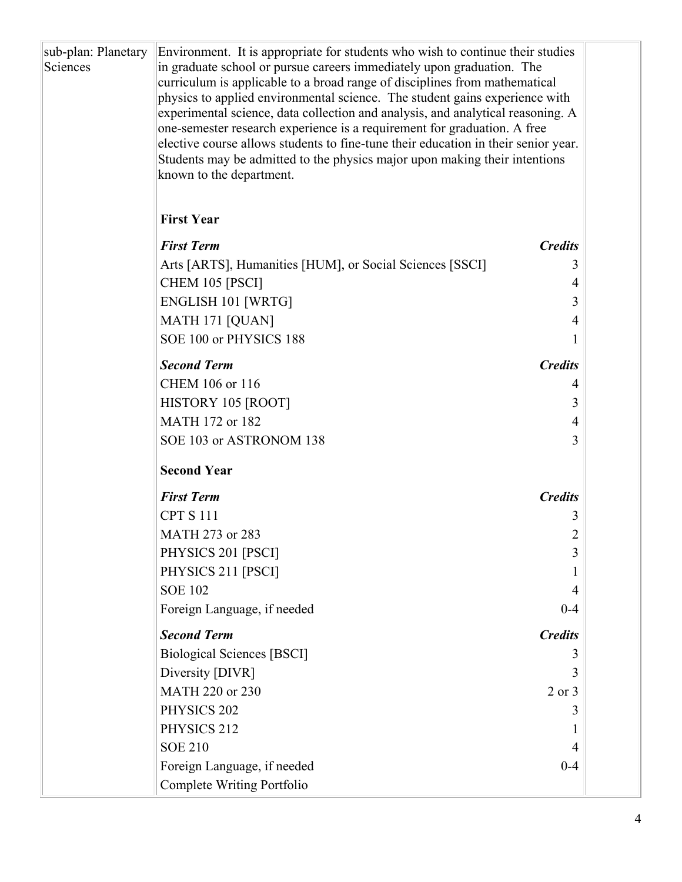| sub-plan: Planetary<br>Sciences | Environment. It is appropriate for students who wish to continue their studies<br>in graduate school or pursue careers immediately upon graduation. The<br>curriculum is applicable to a broad range of disciplines from mathematical<br>physics to applied environmental science. The student gains experience with<br>experimental science, data collection and analysis, and analytical reasoning. A<br>one-semester research experience is a requirement for graduation. A free<br>elective course allows students to fine-tune their education in their senior year.<br>Students may be admitted to the physics major upon making their intentions<br>known to the department.<br><b>First Year</b> |                |  |
|---------------------------------|----------------------------------------------------------------------------------------------------------------------------------------------------------------------------------------------------------------------------------------------------------------------------------------------------------------------------------------------------------------------------------------------------------------------------------------------------------------------------------------------------------------------------------------------------------------------------------------------------------------------------------------------------------------------------------------------------------|----------------|--|
|                                 |                                                                                                                                                                                                                                                                                                                                                                                                                                                                                                                                                                                                                                                                                                          |                |  |
|                                 | <b>First Term</b>                                                                                                                                                                                                                                                                                                                                                                                                                                                                                                                                                                                                                                                                                        | <b>Credits</b> |  |
|                                 | Arts [ARTS], Humanities [HUM], or Social Sciences [SSCI]                                                                                                                                                                                                                                                                                                                                                                                                                                                                                                                                                                                                                                                 | 3              |  |
|                                 | CHEM 105 [PSCI]                                                                                                                                                                                                                                                                                                                                                                                                                                                                                                                                                                                                                                                                                          | 4              |  |
|                                 | <b>ENGLISH 101 [WRTG]</b><br>MATH 171 [QUAN]                                                                                                                                                                                                                                                                                                                                                                                                                                                                                                                                                                                                                                                             | 3<br>4         |  |
|                                 | SOE 100 or PHYSICS 188                                                                                                                                                                                                                                                                                                                                                                                                                                                                                                                                                                                                                                                                                   |                |  |
|                                 | <b>Second Term</b>                                                                                                                                                                                                                                                                                                                                                                                                                                                                                                                                                                                                                                                                                       | <b>Credits</b> |  |
|                                 | CHEM 106 or 116                                                                                                                                                                                                                                                                                                                                                                                                                                                                                                                                                                                                                                                                                          | 4              |  |
|                                 | HISTORY 105 [ROOT]                                                                                                                                                                                                                                                                                                                                                                                                                                                                                                                                                                                                                                                                                       | 3              |  |
|                                 | MATH 172 or 182                                                                                                                                                                                                                                                                                                                                                                                                                                                                                                                                                                                                                                                                                          | 4              |  |
|                                 | SOE 103 or ASTRONOM 138                                                                                                                                                                                                                                                                                                                                                                                                                                                                                                                                                                                                                                                                                  | 3              |  |
|                                 | <b>Second Year</b>                                                                                                                                                                                                                                                                                                                                                                                                                                                                                                                                                                                                                                                                                       |                |  |
|                                 | <b>First Term</b>                                                                                                                                                                                                                                                                                                                                                                                                                                                                                                                                                                                                                                                                                        | <b>Credits</b> |  |
|                                 | <b>CPT S 111</b>                                                                                                                                                                                                                                                                                                                                                                                                                                                                                                                                                                                                                                                                                         | 3              |  |
|                                 | MATH 273 or 283                                                                                                                                                                                                                                                                                                                                                                                                                                                                                                                                                                                                                                                                                          | 2              |  |
|                                 | PHYSICS 201 [PSCI]                                                                                                                                                                                                                                                                                                                                                                                                                                                                                                                                                                                                                                                                                       | 3              |  |
|                                 | PHYSICS 211 [PSCI]                                                                                                                                                                                                                                                                                                                                                                                                                                                                                                                                                                                                                                                                                       | 1              |  |
|                                 | <b>SOE 102</b>                                                                                                                                                                                                                                                                                                                                                                                                                                                                                                                                                                                                                                                                                           | 4              |  |
|                                 | Foreign Language, if needed                                                                                                                                                                                                                                                                                                                                                                                                                                                                                                                                                                                                                                                                              | $0 - 4$        |  |
|                                 | <b>Second Term</b>                                                                                                                                                                                                                                                                                                                                                                                                                                                                                                                                                                                                                                                                                       | <b>Credits</b> |  |
|                                 | <b>Biological Sciences [BSCI]</b>                                                                                                                                                                                                                                                                                                                                                                                                                                                                                                                                                                                                                                                                        | 3              |  |
|                                 | Diversity [DIVR]                                                                                                                                                                                                                                                                                                                                                                                                                                                                                                                                                                                                                                                                                         | 3              |  |
|                                 | MATH 220 or 230                                                                                                                                                                                                                                                                                                                                                                                                                                                                                                                                                                                                                                                                                          | $2$ or $3$     |  |
|                                 | PHYSICS 202                                                                                                                                                                                                                                                                                                                                                                                                                                                                                                                                                                                                                                                                                              | 3              |  |
|                                 | PHYSICS 212                                                                                                                                                                                                                                                                                                                                                                                                                                                                                                                                                                                                                                                                                              |                |  |
|                                 | <b>SOE 210</b>                                                                                                                                                                                                                                                                                                                                                                                                                                                                                                                                                                                                                                                                                           | 4              |  |
|                                 | Foreign Language, if needed<br>Complete Writing Portfolio                                                                                                                                                                                                                                                                                                                                                                                                                                                                                                                                                                                                                                                | $0 - 4$        |  |
|                                 |                                                                                                                                                                                                                                                                                                                                                                                                                                                                                                                                                                                                                                                                                                          |                |  |